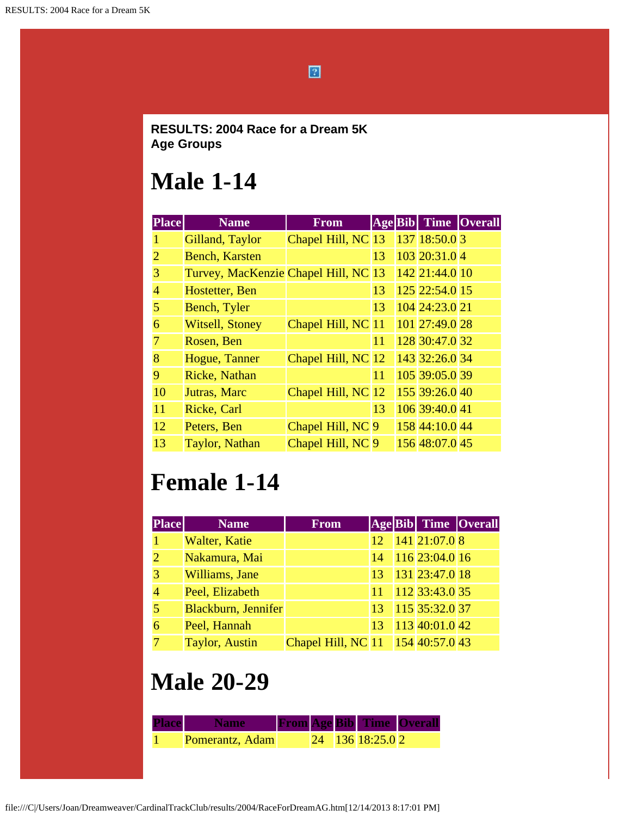$\boxed{2}$ 

#### **RESULTS: 2004 Race for a Dream 5K Age Groups**

#### **Male 1-14**

| <b>Place</b>          | <b>Name</b>                          | <b>From</b>        | Age Bib |                | Time Overall |
|-----------------------|--------------------------------------|--------------------|---------|----------------|--------------|
| 1                     | Gilland, Taylor                      | Chapel Hill, NC 13 |         | 137 18:50.0 3  |              |
| $\mathcal{D}_{\cdot}$ | <b>Bench, Karsten</b>                |                    | 13      | 103 20:31.0 4  |              |
| 3                     | Turvey, MacKenzie Chapel Hill, NC 13 |                    |         | 142 21:44.0 10 |              |
| 4                     | Hostetter, Ben                       |                    | 13      | 125 22:54.0 15 |              |
| 5                     | Bench, Tyler                         |                    | 13      | 104 24:23.0 21 |              |
| 6                     | <b>Witsell, Stoney</b>               | Chapel Hill, NC 11 |         | 101 27:49.0 28 |              |
| 7                     | Rosen, Ben                           |                    | 11      | 128 30:47.0 32 |              |
| 8                     | Hogue, Tanner                        | Chapel Hill, NC 12 |         | 143 32:26.0 34 |              |
| 9                     | Ricke, Nathan                        |                    | 11      | 105 39:05.0 39 |              |
| 10                    | Jutras, Marc                         | Chapel Hill, NC 12 |         | 155 39:26.0 40 |              |
| 11                    | Ricke, Carl                          |                    | 13      | 106 39:40.0 41 |              |
| 12                    | Peters, Ben                          | Chapel Hill, NC 9  |         | 158 44:10.0 44 |              |
| 13                    | <b>Taylor</b> , Nathan               | Chapel Hill, NC 9  |         | 156 48:07.0 45 |              |

## **Female 1-14**

| <b>Place</b>          | <b>Name</b>           | <b>From</b>                       |    |                  | <b>Age Bib Time Overall</b> |
|-----------------------|-----------------------|-----------------------------------|----|------------------|-----------------------------|
|                       | Walter, Katie         |                                   | 12 | $141$ 21:07.0 8  |                             |
| $\mathcal{D}_{\cdot}$ | Nakamura, Mai         |                                   | 14 | 116 23:04.0 16   |                             |
| 3                     | Williams, Jane        |                                   | 13 | $131$ 23:47.0 18 |                             |
|                       | Peel, Elizabeth       |                                   | 11 | 112 33:43.0 35   |                             |
|                       | Blackburn, Jennifer   |                                   | 13 | $115$ 35:32.0 37 |                             |
| 6                     | Peel, Hannah          |                                   | 13 | $113$ 40:01.0 42 |                             |
|                       | <b>Taylor, Austin</b> | Chapel Hill, NC 11 154 40:57.0 43 |    |                  |                             |

# **Male 20-29**

| <b>Place</b> | <b>Wame</b>     |  |                    | <b>From Age Bib Time Overall</b> |
|--------------|-----------------|--|--------------------|----------------------------------|
|              | Pomerantz, Adam |  | $24$ 136 18:25.0 2 |                                  |

file:///C|/Users/Joan/Dreamweaver/CardinalTrackClub/results/2004/RaceForDreamAG.htm[12/14/2013 8:17:01 PM]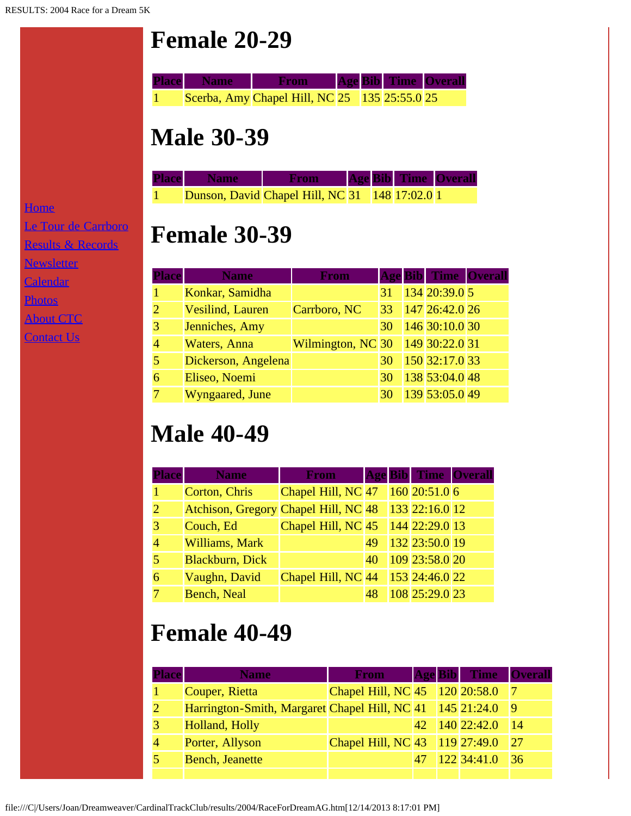# **Female 20-29**



#### **Male 30-39**

| <b>Place</b> Name | <b>From</b>                                    |  | <b>Age Bib Time Overall</b> |  |
|-------------------|------------------------------------------------|--|-----------------------------|--|
|                   | Dunson, David Chapel Hill, NC 31 148 17:02.0 1 |  |                             |  |

### **Female 30-39**

| <b>Place</b>   | <b>Name</b>              | <b>From</b>                          |    |                | <b>Age Bib Time Overall</b> |
|----------------|--------------------------|--------------------------------------|----|----------------|-----------------------------|
| $\mathbf{1}$   | Konkar, Samidha          |                                      | 31 | 134 20:39.0 5  |                             |
| $\overline{2}$ | <b>Vesilind</b> , Lauren | Carrboro, NC                         | 33 | 14726:42.026   |                             |
| 3              | Jenniches, Amy           |                                      | 30 | 146 30:10.0 30 |                             |
| $\overline{4}$ | Waters, Anna             | Wilmington, NC 30   149   30:22.0 31 |    |                |                             |
| 5              | Dickerson, Angelena      |                                      | 30 | 150 32:17.0 33 |                             |
| 6              | Eliseo, Noemi            |                                      | 30 | 138 53:04.0 48 |                             |
| 7              | Wyngaared, June          |                                      | 30 | 139 53:05.0 49 |                             |

## **Male 40-49**

| <b>Place</b> | <b>Name</b>                          | <b>From</b>        |    |                  | <b>Age Bib Time Overall</b> |
|--------------|--------------------------------------|--------------------|----|------------------|-----------------------------|
|              | Corton, Chris                        | Chapel Hill, NC 47 |    | $160$ 20:51.0 6  |                             |
|              | Atchison, Gregory Chapel Hill, NC 48 |                    |    | 133 22:16.0 12   |                             |
|              | Couch, Ed                            | Chapel Hill, NC 45 |    | $144$ 22:29.0 13 |                             |
|              | Williams, Mark                       |                    | 49 | 132 23:50.0 19   |                             |
|              | <b>Blackburn</b> , Dick              |                    | 40 | 109 23:58.0 20   |                             |
| 6            | Vaughn, David                        | Chapel Hill, NC 44 |    | $153$ 24:46.0 22 |                             |
|              | <b>Bench, Neal</b>                   |                    | 48 | 108 25:29.0 23   |                             |

# **Female 40-49**

| Place | <b>Name</b>                                               | <b>From</b>                    |     | <b>Age Bib</b> Time Overall |     |
|-------|-----------------------------------------------------------|--------------------------------|-----|-----------------------------|-----|
|       | Couper, Rietta                                            | Chapel Hill, NC 45 120 20:58.0 |     |                             |     |
|       | Harrington-Smith, Margaret Chapel Hill, NC 41 145 21:24.0 |                                |     |                             | 9   |
|       | Holland, Holly                                            |                                | 42. | $140$ 22:42.0               | 14  |
|       | Porter, Allyson                                           | Chapel Hill, NC 43 119 27:49.0 |     |                             | 127 |
|       | <b>Bench, Jeanette</b>                                    |                                |     | 122 34:41.0                 | 136 |
|       |                                                           |                                |     |                             |     |

**[Home](file:///home.html)** [Le Tour de Carrboro](file:///letourdecarrboro.html) [Results & Records](file:///results.html) **[Newsletter](file:///newsletterSignup.html)** [Calendar](file:///page/page/8345191.htm) **[Photos](file:///photos.html) [About CTC](file:///about.html) [Contact Us](file:///contactUs.html)**